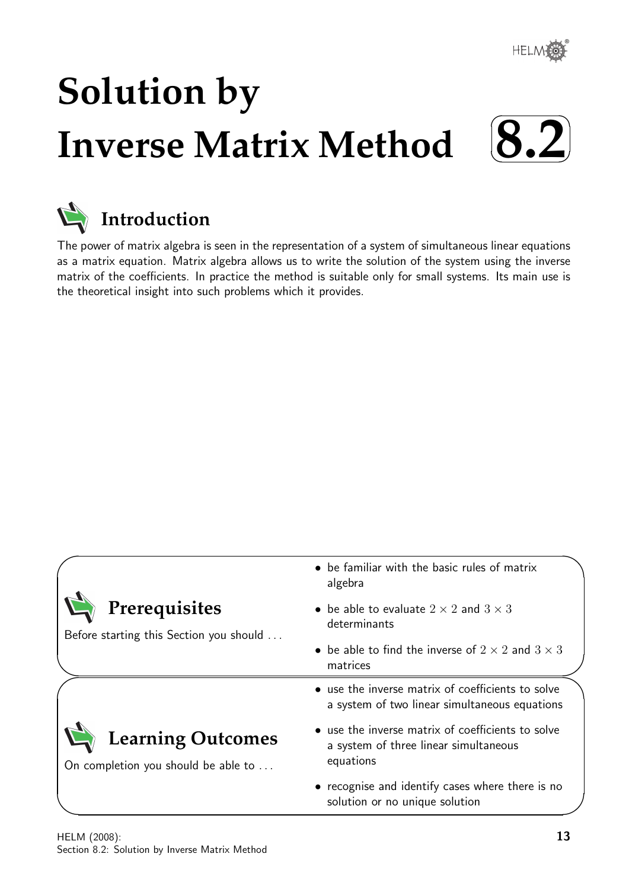

# **Solution by Inverse Matrix Method**  $\sqrt{2}$





The power of matrix algebra is seen in the representation of a system of simultaneous linear equations as a matrix equation. Matrix algebra allows us to write the solution of the system using the inverse matrix of the coefficients. In practice the method is suitable only for small systems. Its main use is the theoretical insight into such problems which it provides.

|                                                                 | • be familiar with the basic rules of matrix<br>algebra                                                 |  |  |  |  |  |
|-----------------------------------------------------------------|---------------------------------------------------------------------------------------------------------|--|--|--|--|--|
| Prerequisites<br>Before starting this Section you should        | • be able to evaluate $2 \times 2$ and $3 \times 3$<br>determinants                                     |  |  |  |  |  |
|                                                                 | • be able to find the inverse of $2 \times 2$ and $3 \times 3$<br>matrices                              |  |  |  |  |  |
|                                                                 | • use the inverse matrix of coefficients to solve<br>a system of two linear simultaneous equations      |  |  |  |  |  |
| <b>Learning Outcomes</b><br>On completion you should be able to | • use the inverse matrix of coefficients to solve<br>a system of three linear simultaneous<br>equations |  |  |  |  |  |
|                                                                 | • recognise and identify cases where there is no<br>solution or no unique solution                      |  |  |  |  |  |

 $\overline{\phantom{0}}$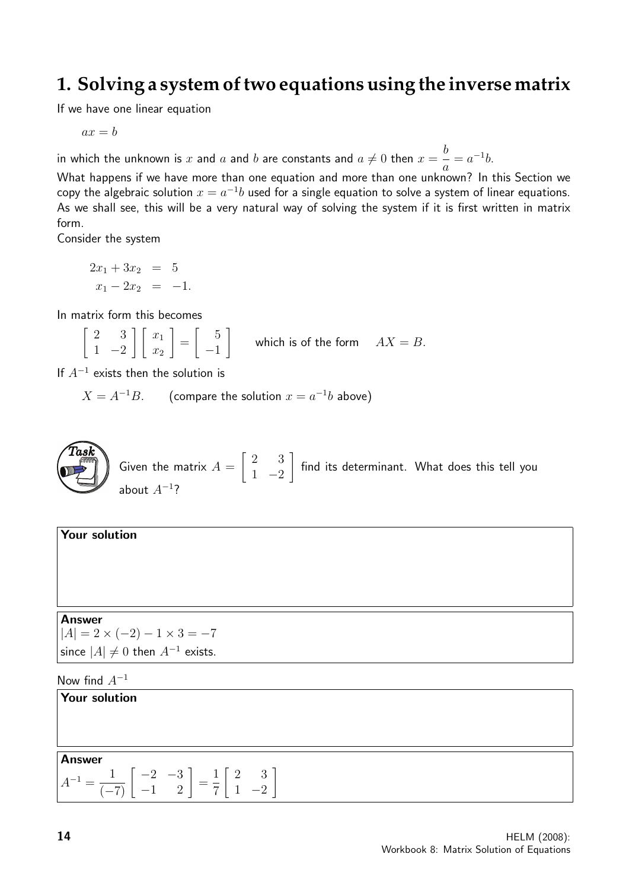## **1. Solving a system of two equations using the inverse matrix**

If we have one linear equation

 $ax = b$ 

in which the unknown is  $x$  and  $a$  and  $b$  are constants and  $a\neq 0$  then  $x=\frac{b}{a}$ a  $= a^{-1}b.$ 

What happens if we have more than one equation and more than one unknown? In this Section we copy the algebraic solution  $x=a^{-1}b$  used for a single equation to solve a system of linear equations. As we shall see, this will be a very natural way of solving the system if it is first written in matrix form.

Consider the system

$$
2x_1 + 3x_2 = 5
$$
  

$$
x_1 - 2x_2 = -1.
$$

In matrix form this becomes

 $\begin{bmatrix} 2 & 3 \end{bmatrix}$  $1 -2$  $\left[\begin{array}{c}x_1\end{array}\right]$  $\overline{x_2}$ 1 =  $\begin{bmatrix} 5 \end{bmatrix}$ −1 1 which is of the form  $AX = B$ .

If  $A^{-1}$  exists then the solution is

 $X = A^{-1}B$ . (compare the solution  $x = a^{-1}b$  above)



Your solution

Answer  $|A| = 2 \times (-2) - 1 \times 3 = -7$ since  $|A| \neq 0$  then  $A^{-1}$  exists.

Now find  $A^{-1}$ 

Your solution Answer  $A^{-1} = \frac{1}{(-7)} \begin{bmatrix} -2 & -3 \\ -1 & 2 \end{bmatrix} =$ 1 7  $\begin{bmatrix} 2 & 3 \end{bmatrix}$  $1 -2$ 1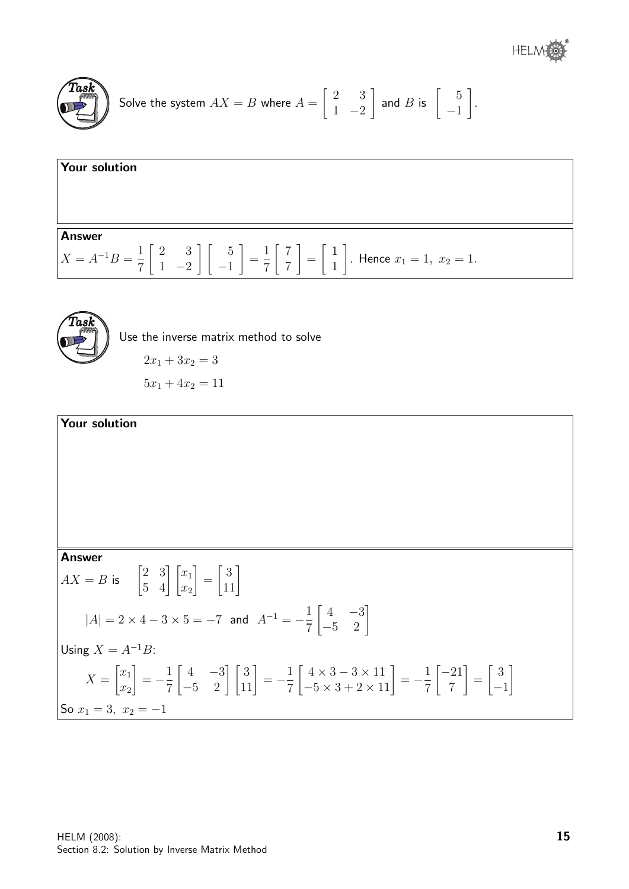

Solve the system 
$$
AX = B
$$
 where  $A = \begin{bmatrix} 2 & 3 \\ 1 & -2 \end{bmatrix}$  and B is  $\begin{bmatrix} 5 \\ -1 \end{bmatrix}$ .

**Your solution**  
  
Answer  

$$
X = A^{-1}B = \frac{1}{7} \begin{bmatrix} 2 & 3 \\ 1 & -2 \end{bmatrix} \begin{bmatrix} 5 \\ -1 \end{bmatrix} = \frac{1}{7} \begin{bmatrix} 7 \\ 7 \end{bmatrix} = \begin{bmatrix} 1 \\ 1 \end{bmatrix}
$$
. Hence  $x_1 = 1$ ,  $x_2 = 1$ .



Use the inverse matrix method to solve

 $2x_1 + 3x_2 = 3$ 

 $5x_1 + 4x_2 = 11$ 

**Your solution**  
\n**Answer**  
\n
$$
AX = B \text{ is } \begin{bmatrix} 2 & 3 \\ 5 & 4 \end{bmatrix} \begin{bmatrix} x_1 \\ x_2 \end{bmatrix} = \begin{bmatrix} 3 \\ 11 \end{bmatrix}
$$
\n
$$
|A| = 2 \times 4 - 3 \times 5 = -7 \text{ and } A^{-1} = -\frac{1}{7} \begin{bmatrix} 4 & -3 \\ -5 & 2 \end{bmatrix}
$$
\nUsing  $X = A^{-1}B$ :  
\n
$$
X = \begin{bmatrix} x_1 \\ x_2 \end{bmatrix} = -\frac{1}{7} \begin{bmatrix} 4 & -3 \\ -5 & 2 \end{bmatrix} \begin{bmatrix} 3 \\ 11 \end{bmatrix} = -\frac{1}{7} \begin{bmatrix} 4 \times 3 - 3 \times 11 \\ -5 \times 3 + 2 \times 11 \end{bmatrix} = -\frac{1}{7} \begin{bmatrix} -21 \\ 7 \end{bmatrix} = \begin{bmatrix} 3 \\ -1 \end{bmatrix}
$$
\nSo  $x_1 = 3$ ,  $x_2 = -1$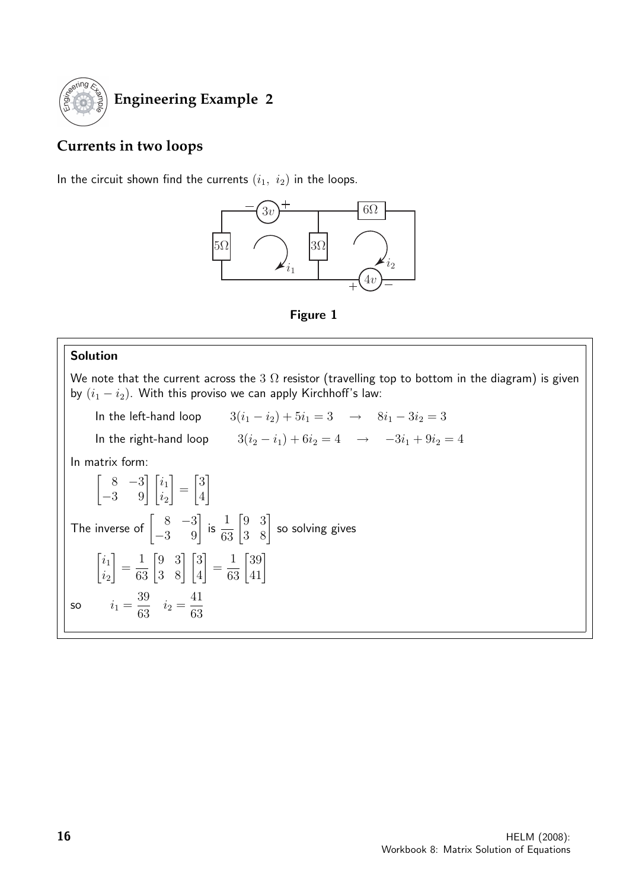

### **Engineering Example 2**

### **Currents in two loops**

In the circuit shown find the currents  $(i_1, i_2)$  in the loops.





#### Solution

We note that the current across the 3  $\Omega$  resistor (travelling top to bottom in the diagram) is given by  $(i_1 - i_2)$ . With this proviso we can apply Kirchhoff's law:

In the left-hand loop  $3(i_1 - i_2) + 5i_1 = 3 \rightarrow 8i_1 - 3i_2 = 3$ In the right-hand loop  $3(i_2 - i_1) + 6i_2 = 4 \rightarrow -3i_1 + 9i_2 = 4$ In matrix form:  $\begin{bmatrix} 8 & -3 \\ -3 & 9 \end{bmatrix} \begin{bmatrix} i_1 \\ i_2 \end{bmatrix}$ 1 =  $\lceil 3 \rceil$ 4 1 The inverse of  $\begin{bmatrix} 8 & -3 \\ -3 & 9 \end{bmatrix}$  is  $\frac{1}{63} \begin{bmatrix} 9 & 3 \\ 3 & 8 \end{bmatrix}$  so solving gives  $\lceil i_1 \rceil$  $\dot{i}_2$ 1 =  $\frac{1}{63} \begin{bmatrix} 9 & 3 \\ 3 & 8 \end{bmatrix} \begin{bmatrix} 3 \\ 4 \end{bmatrix}$ 1 =  $\frac{1}{63} \begin{bmatrix} 39 \\ 41 \end{bmatrix}$ so  $i_1 =$ 39  $\frac{63}{63}$   $i_2 =$ 41 63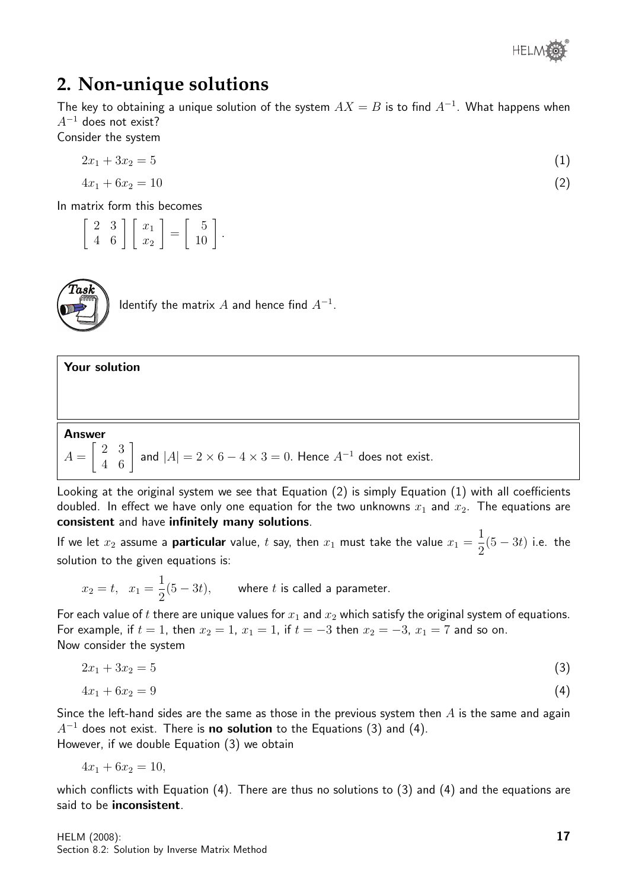

## **2. Non-unique solutions**

The key to obtaining a unique solution of the system  $AX = B$  is to find  $A^{-1}$ . What happens when  $A^{-1}$  does not exist?

Consider the system

$$
2x_1 + 3x_2 = 5 \tag{1}
$$

$$
4x_1 + 6x_2 = 10 \tag{2}
$$

In matrix form this becomes

 $\left[\begin{array}{cc} 2 & 3 \\ 4 & 6 \end{array}\right] \left[\begin{array}{c} x_1 \\ x_2 \end{array}\right]$ 1 =  $\left[\begin{array}{c}5\\10\end{array}\right].$ 



Identify the matrix  $A$  and hence find  $A^{-1}.$ 

## Your solution Answer  $A =$  $\begin{bmatrix} 2 & 3 \\ 4 & 6 \end{bmatrix}$  and  $|A| = 2 \times 6 - 4 \times 3 = 0$ . Hence  $A^{-1}$  does not exist.

Looking at the original system we see that Equation (2) is simply Equation (1) with all coefficients doubled. In effect we have only one equation for the two unknowns  $x_1$  and  $x_2$ . The equations are consistent and have infinitely many solutions.

If we let  $x_2$  assume a **particular** value, t say, then  $x_1$  must take the value  $x_1 =$ 1 2  $(5 - 3t)$  i.e. the solution to the given equations is:

$$
x_2 = t
$$
,  $x_1 = \frac{1}{2}(5 - 3t)$ , where *t* is called a parameter.

For each value of t there are unique values for  $x_1$  and  $x_2$  which satisfy the original system of equations. For example, if  $t = 1$ , then  $x_2 = 1$ ,  $x_1 = 1$ , if  $t = -3$  then  $x_2 = -3$ ,  $x_1 = 7$  and so on. Now consider the system

$$
2x_1 + 3x_2 = 5 \tag{3}
$$

$$
4x_1 + 6x_2 = 9 \tag{4}
$$

Since the left-hand sides are the same as those in the previous system then  $A$  is the same and again  $A^{-1}$  does not exist. There is **no solution** to the Equations (3) and (4). However, if we double Equation (3) we obtain

$$
4x_1 + 6x_2 = 10,
$$

which conflicts with Equation (4). There are thus no solutions to (3) and (4) and the equations are said to be inconsistent.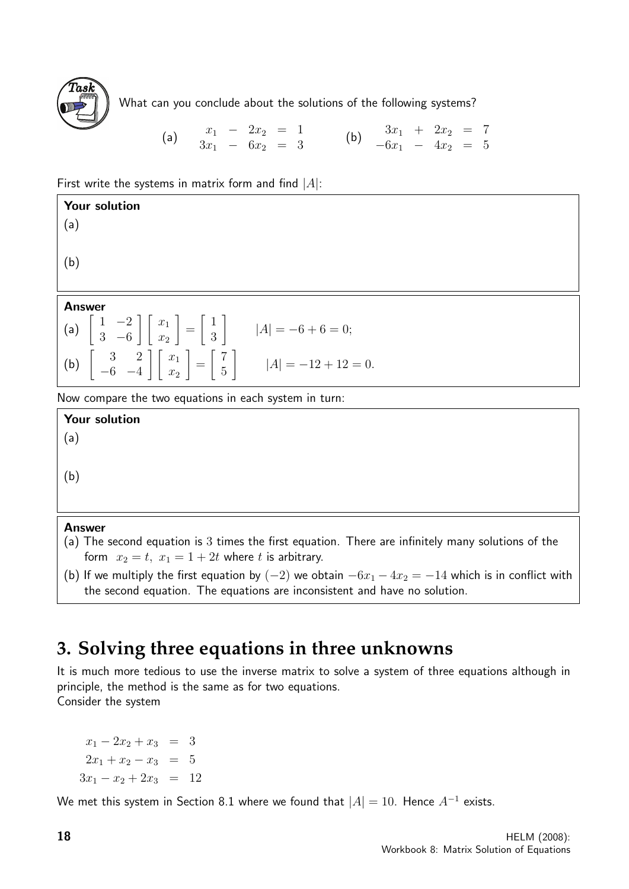

What can you conclude about the solutions of the following systems?

(a) 
$$
\begin{array}{ccccccccc}\nx_1 & - & 2x_2 & = & 1 \\
3x_1 & - & 6x_2 & = & 3\n\end{array}
$$
 (b)  $\begin{array}{ccccccccc}\n3x_1 & + & 2x_2 & = & 7 \\
-6x_1 & - & 4x_2 & = & 5\n\end{array}$ 

First write the systems in matrix form and find  $|A|$ :

| Your solution<br>(a)                                                                                                                                       |
|------------------------------------------------------------------------------------------------------------------------------------------------------------|
| (b)                                                                                                                                                        |
| <b>Answer</b>                                                                                                                                              |
| (a) $\begin{bmatrix} 1 & -2 \\ 3 & -6 \end{bmatrix} \begin{bmatrix} x_1 \\ x_2 \end{bmatrix} = \begin{bmatrix} 1 \\ 3 \end{bmatrix}$ $ A  = -6 + 6 = 0;$   |
| (b) $\begin{bmatrix} 3 & 2 \\ -6 & -4 \end{bmatrix} \begin{bmatrix} x_1 \\ x_2 \end{bmatrix} = \begin{bmatrix} 7 \\ 5 \end{bmatrix}$ $ A  = -12 + 12 = 0.$ |
| Now compare the two equations in each system in turn:                                                                                                      |

Now compare the two equations in each system in turn:

Your solution (a) (b)

#### Answer

- (a) The second equation is 3 times the first equation. There are infinitely many solutions of the form  $x_2 = t$ ,  $x_1 = 1 + 2t$  where t is arbitrary.
- (b) If we multiply the first equation by  $(-2)$  we obtain  $-6x_1 4x_2 = -14$  which is in conflict with the second equation. The equations are inconsistent and have no solution.

## **3. Solving three equations in three unknowns**

It is much more tedious to use the inverse matrix to solve a system of three equations although in principle, the method is the same as for two equations. Consider the system

 $x_1 - 2x_2 + x_3 = 3$  $2x_1 + x_2 - x_3 = 5$  $3x_1 - x_2 + 2x_3 = 12$ 

We met this system in Section 8.1 where we found that  $|A|=10$ . Hence  $A^{-1}$  exists.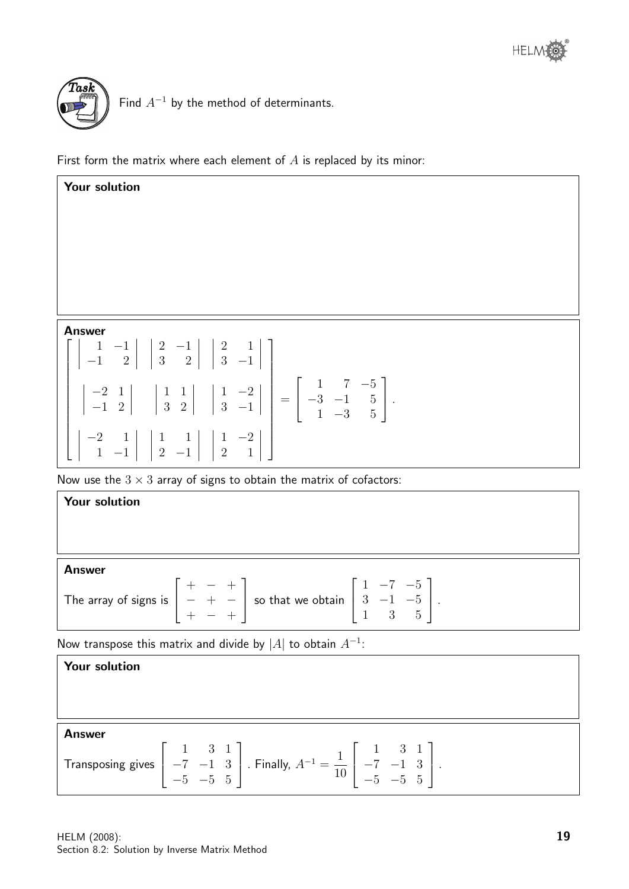



Find  $A^{-1}$  by the method of determinants.

First form the matrix where each element of  $A$  is replaced by its minor:

| Your solution                                                                                                                                                                                                                        |
|--------------------------------------------------------------------------------------------------------------------------------------------------------------------------------------------------------------------------------------|
|                                                                                                                                                                                                                                      |
|                                                                                                                                                                                                                                      |
|                                                                                                                                                                                                                                      |
|                                                                                                                                                                                                                                      |
|                                                                                                                                                                                                                                      |
| <b>Answer</b>                                                                                                                                                                                                                        |
| $\begin{array}{ c c c c c c c c c } \hline & 1 & -1 & 2 & 2 & -1 & 2 & 3 & -1 & 3 & -1 & 0 \ \hline \end{array}$                                                                                                                     |
| $\begin{vmatrix} 1 & -2 & 1 \\ -1 & 2 & 3 \end{vmatrix}$ $\begin{vmatrix} 1 & 1 \\ 3 & 2 \end{vmatrix}$ $\begin{vmatrix} 1 & -2 \\ 3 & -1 \end{vmatrix}$ $= \begin{bmatrix} 1 & 7 & -5 \\ -3 & -1 & 5 \\ 1 & -3 & 5 \end{bmatrix}$ . |
| $\left[\begin{array}{rrr} -2 & 1 & 1 & 1 & 1 & -2 \\ 1 & -1 & 2 & -1 & 2 & 1 \end{array}\right]$                                                                                                                                     |
| Now use the $3 \times 3$ array of signs to obtain the matrix of cofactors:                                                                                                                                                           |

| <b>Answer</b>                                                                                                                                                                         |  |
|---------------------------------------------------------------------------------------------------------------------------------------------------------------------------------------|--|
| The array of signs is $\begin{bmatrix} + & - & + \\ - & + & - \\ + & - & + \end{bmatrix}$ so that we obtain $\begin{bmatrix} 1 & -7 & -5 \\ 3 & -1 & -5 \\ 1 & 3 & 5 \end{bmatrix}$ . |  |

Now transpose this matrix and divide by  $|A|$  to obtain  $A^{-1}$ :

| <b>Your solution</b>                                                                                                                                                                                 |
|------------------------------------------------------------------------------------------------------------------------------------------------------------------------------------------------------|
|                                                                                                                                                                                                      |
| <b>Answer</b>                                                                                                                                                                                        |
| Transposing gives $\begin{bmatrix} 1 & 3 & 1 \\ -7 & -1 & 3 \\ -5 & -5 & 5 \end{bmatrix}$ . Finally, $A^{-1} = \frac{1}{10} \begin{bmatrix} 1 & 3 & 1 \\ -7 & -1 & 3 \\ -5 & -5 & 5 \end{bmatrix}$ . |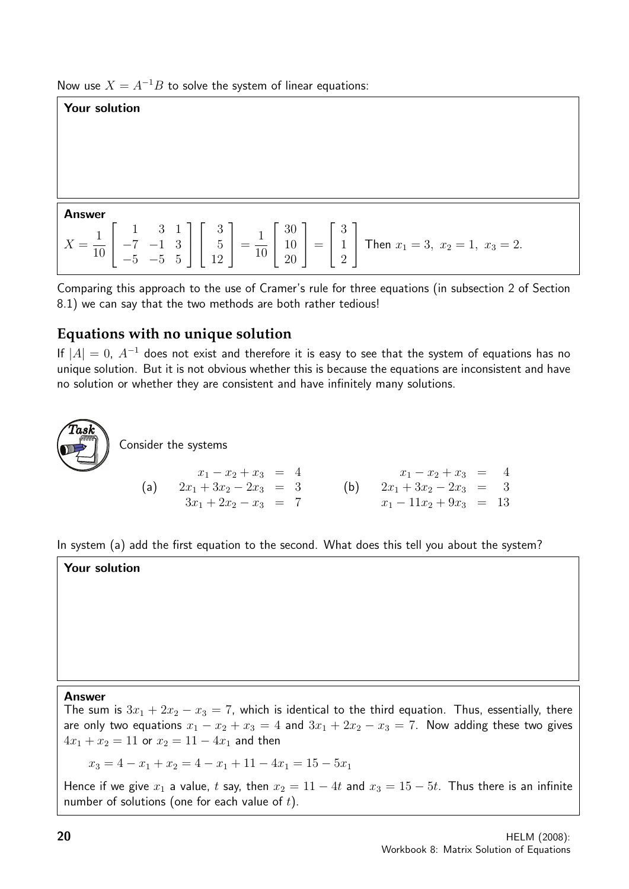Now use  $X = A^{-1}B$  to solve the system of linear equations:

#### Your solution Answer  $X =$ 1 10  $\sqrt{ }$  $\overline{1}$ 1 3 1 −7 −1 3  $-5$  -5 5 1  $\overline{1}$  $\sqrt{ }$  $\overline{\phantom{a}}$ 3 5 12 1  $\Big| =$ 1 10  $\sqrt{ }$  $\overline{1}$ 30 10 20 1  $\Big| =$  $\sqrt{ }$  $\overline{\phantom{a}}$ 3 1 2 1 Then  $x_1 = 3$ ,  $x_2 = 1$ ,  $x_3 = 2$ .

Comparing this approach to the use of Cramer's rule for three equations (in subsection 2 of Section 8.1) we can say that the two methods are both rather tedious!

### **Equations with no unique solution**

If  $|A| = 0$ ,  $A^{-1}$  does not exist and therefore it is easy to see that the system of equations has no unique solution. But it is not obvious whether this is because the equations are inconsistent and have no solution or whether they are consistent and have infinitely many solutions.



Consider the systems

| $x_1 - x_2 + x_3 = 4$   | $x_1 - x_2 + x_3 = 4$     |     |                          |
|-------------------------|---------------------------|-----|--------------------------|
| (a)                     | $2x_1 + 3x_2 - 2x_3 = 3$  | (b) | $2x_1 + 3x_2 - 2x_3 = 3$ |
| $3x_1 + 2x_2 - x_3 = 7$ | $x_1 - 11x_2 + 9x_3 = 13$ |     |                          |

In system (a) add the first equation to the second. What does this tell you about the system?

Your solution

Answer

The sum is  $3x_1 + 2x_2 - x_3 = 7$ , which is identical to the third equation. Thus, essentially, there are only two equations  $x_1 - x_2 + x_3 = 4$  and  $3x_1 + 2x_2 - x_3 = 7$ . Now adding these two gives  $4x_1 + x_2 = 11$  or  $x_2 = 11 - 4x_1$  and then

 $x_3 = 4 - x_1 + x_2 = 4 - x_1 + 11 - 4x_1 = 15 - 5x_1$ 

Hence if we give  $x_1$  a value, t say, then  $x_2 = 11 - 4t$  and  $x_3 = 15 - 5t$ . Thus there is an infinite number of solutions (one for each value of  $t$ ).